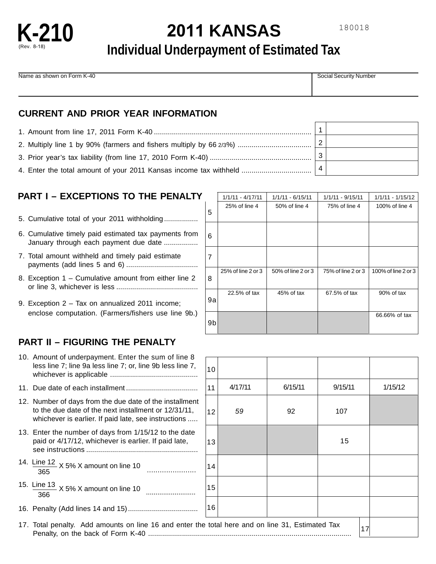

# **2011 KANSAS**

## **Individual Underpayment of Estimated Tax**

Name as shown on Form K-40 Social Security Number Security Number

#### **CURRENT AND PRIOR YEAR INFORMATION**

|                                                                   | $\overline{2}$ |  |
|-------------------------------------------------------------------|----------------|--|
|                                                                   |                |  |
| 4. Enter the total amount of your 2011 Kansas income tax withheld |                |  |

## **PART I – EXCEPTIONS TO THE PENALTY**

- 5. Cumulative total of your 2011 withholding .................
- 6. Cumulative timely paid estimated tax payments from January through each payment due date .................
- 7. Total amount withheld and timely paid estimate payments (add lines 5 and 6) ....................................
- 8. Exception 1 Cumulative amount from either line 2 or line 3, whichever is less .........................................
- 9. Exception 2 Tax on annualized 2011 income; enclose computation. (Farmers/fishers use line 9b.)

## **PART II – FIGURING THE PENALTY**

| 10. Amount of underpayment. Enter the sum of line 8<br>less line 7; line 9a less line 7; or, line 9b less line 7,                                                       | 10 <sup>1</sup> |         |         |        |
|-------------------------------------------------------------------------------------------------------------------------------------------------------------------------|-----------------|---------|---------|--------|
|                                                                                                                                                                         | 11              | 4/17/11 | 6/15/11 | 9/15/1 |
| 12. Number of days from the due date of the installment<br>to the due date of the next installment or 12/31/11,<br>whichever is earlier. If paid late, see instructions | 12              | 59      | 92      | 107    |
| 13. Enter the number of days from 1/15/12 to the date<br>paid or 4/17/12, whichever is earlier. If paid late,                                                           | 13              |         |         | 15     |
| 14. Line 12 $\times$ 5% X amount on line 10<br>365                                                                                                                      | 14              |         |         |        |
| 366                                                                                                                                                                     | 15              |         |         |        |
|                                                                                                                                                                         | 16              |         |         |        |
| 17. Total penalty. Add amounts on line 16 and enter the total here and on line 31, Estimated Tax                                                                        |                 |         |         |        |

|    | $1/1/11 - 4/17/11$ | $1/1/11 - 6/15/11$ | $1/1/11 - 9/15/11$ | $1/1/11 - 1/15/12$  |
|----|--------------------|--------------------|--------------------|---------------------|
| 5  | 25% of line 4      | 50% of line 4      | 75% of line 4      | 100% of line 4      |
| 6  |                    |                    |                    |                     |
| 7  |                    |                    |                    |                     |
| 8  | 25% of line 2 or 3 | 50% of line 2 or 3 | 75% of line 2 or 3 | 100% of line 2 or 3 |
| 9a | 22.5% of tax       | 45% of tax         | 67.5% of tax       | 90% of tax          |
| 9b |                    |                    |                    | 66.66% of tax       |

| 10                                       |         |         |         |    |         |
|------------------------------------------|---------|---------|---------|----|---------|
| 11                                       | 4/17/11 | 6/15/11 | 9/15/11 |    | 1/15/12 |
| 12                                       | 59      | 92      | 107     |    |         |
| 13                                       |         |         | 15      |    |         |
| 14                                       |         |         |         |    |         |
| 15                                       |         |         |         |    |         |
| 16                                       |         |         |         |    |         |
| total here and on line 31, Estimated Tax |         |         |         | 17 |         |